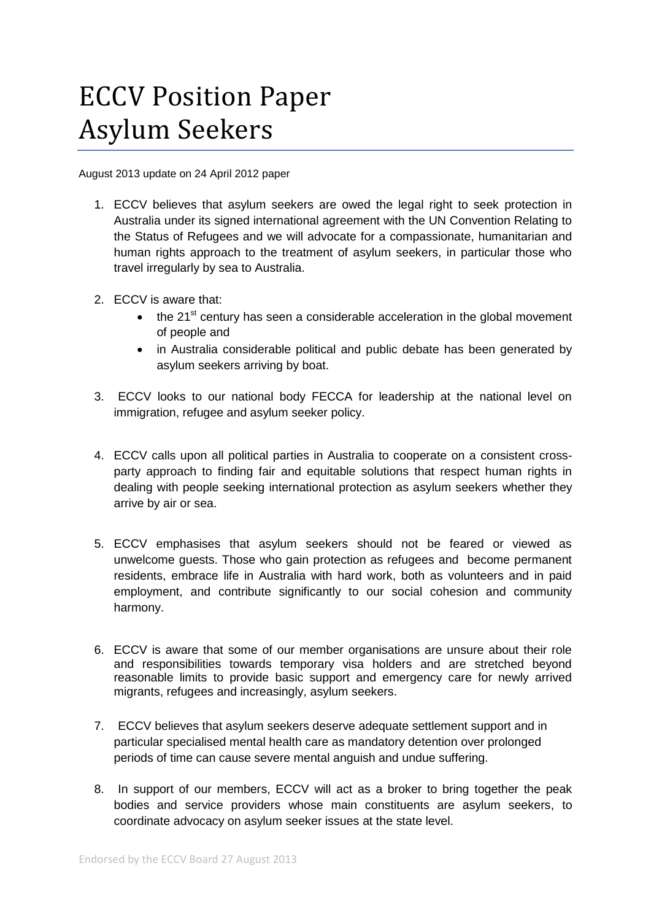## ECCV Position Paper Asylum Seekers

August 2013 update on 24 April 2012 paper

- 1. ECCV believes that asylum seekers are owed the legal right to seek protection in Australia under its signed international agreement with the UN Convention Relating to the Status of Refugees and we will advocate for a compassionate, humanitarian and human rights approach to the treatment of asylum seekers, in particular those who travel irregularly by sea to Australia.
- 2. ECCV is aware that:
	- $\bullet$  the 21<sup>st</sup> century has seen a considerable acceleration in the global movement of people and
	- in Australia considerable political and public debate has been generated by asylum seekers arriving by boat.
- 3. ECCV looks to our national body FECCA for leadership at the national level on immigration, refugee and asylum seeker policy.
- 4. ECCV calls upon all political parties in Australia to cooperate on a consistent crossparty approach to finding fair and equitable solutions that respect human rights in dealing with people seeking international protection as asylum seekers whether they arrive by air or sea.
- 5. ECCV emphasises that asylum seekers should not be feared or viewed as unwelcome guests. Those who gain protection as refugees and become permanent residents, embrace life in Australia with hard work, both as volunteers and in paid employment, and contribute significantly to our social cohesion and community harmony.
- 6. ECCV is aware that some of our member organisations are unsure about their role and responsibilities towards temporary visa holders and are stretched beyond reasonable limits to provide basic support and emergency care for newly arrived migrants, refugees and increasingly, asylum seekers.
- 7. ECCV believes that asylum seekers deserve adequate settlement support and in particular specialised mental health care as mandatory detention over prolonged periods of time can cause severe mental anguish and undue suffering.
- 8. In support of our members, ECCV will act as a broker to bring together the peak bodies and service providers whose main constituents are asylum seekers, to coordinate advocacy on asylum seeker issues at the state level.